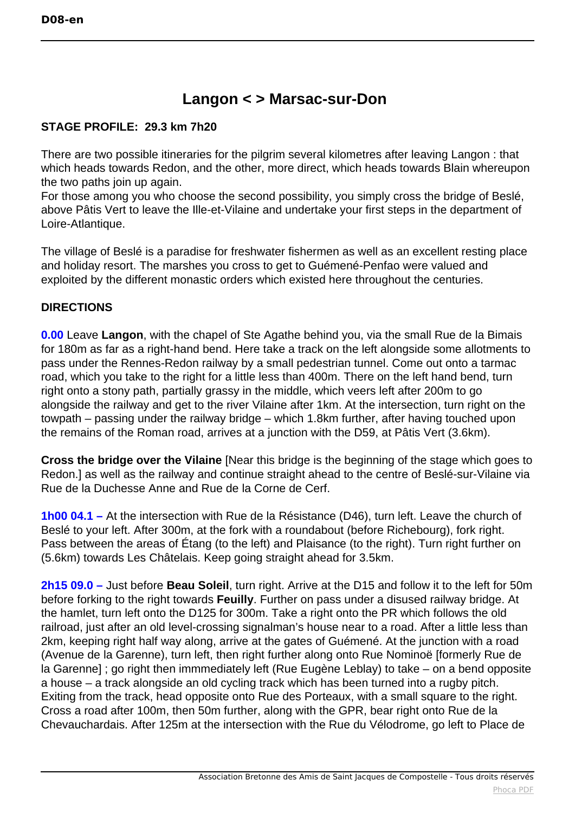## **Langon < > Marsac-sur-Don**

## **STAGE PROFILE: 29.3 km 7h20**

There are two possible itineraries for the pilgrim several kilometres after leaving Langon : that which heads towards Redon, and the other, more direct, which heads towards Blain whereupon the two paths join up again.

For those among you who choose the second possibility, you simply cross the bridge of Beslé, above Pâtis Vert to leave the Ille-et-Vilaine and undertake your first steps in the department of Loire-Atlantique.

The village of Beslé is a paradise for freshwater fishermen as well as an excellent resting place and holiday resort. The marshes you cross to get to Guémené-Penfao were valued and exploited by the different monastic orders which existed here throughout the centuries.

## **DIRECTIONS**

**0.00** Leave **Langon**, with the chapel of Ste Agathe behind you, via the small Rue de la Bimais for 180m as far as a right-hand bend. Here take a track on the left alongside some allotments to pass under the Rennes-Redon railway by a small pedestrian tunnel. Come out onto a tarmac road, which you take to the right for a little less than 400m. There on the left hand bend, turn right onto a stony path, partially grassy in the middle, which veers left after 200m to go alongside the railway and get to the river Vilaine after 1km. At the intersection, turn right on the towpath – passing under the railway bridge – which 1.8km further, after having touched upon the remains of the Roman road, arrives at a junction with the D59, at Pâtis Vert (3.6km).

**Cross the bridge over the Vilaine** [Near this bridge is the beginning of the stage which goes to Redon.] as well as the railway and continue straight ahead to the centre of Beslé-sur-Vilaine via Rue de la Duchesse Anne and Rue de la Corne de Cerf.

**1h00 04.1 –** At the intersection with Rue de la Résistance (D46), turn left. Leave the church of Beslé to your left. After 300m, at the fork with a roundabout (before Richebourg), fork right. Pass between the areas of Étang (to the left) and Plaisance (to the right). Turn right further on (5.6km) towards Les Châtelais. Keep going straight ahead for 3.5km.

**2h15 09.0 –** Just before **Beau Soleil**, turn right. Arrive at the D15 and follow it to the left for 50m before forking to the right towards **Feuilly**. Further on pass under a disused railway bridge. At the hamlet, turn left onto the D125 for 300m. Take a right onto the PR which follows the old railroad, just after an old level-crossing signalman's house near to a road. After a little less than 2km, keeping right half way along, arrive at the gates of Guémené. At the junction with a road (Avenue de la Garenne), turn left, then right further along onto Rue Nominoë [formerly Rue de la Garenne] ; go right then immmediately left (Rue Eugène Leblay) to take – on a bend opposite a house – a track alongside an old cycling track which has been turned into a rugby pitch. Exiting from the track, head opposite onto Rue des Porteaux, with a small square to the right. Cross a road after 100m, then 50m further, along with the GPR, bear right onto Rue de la Chevauchardais. After 125m at the intersection with the Rue du Vélodrome, go left to Place de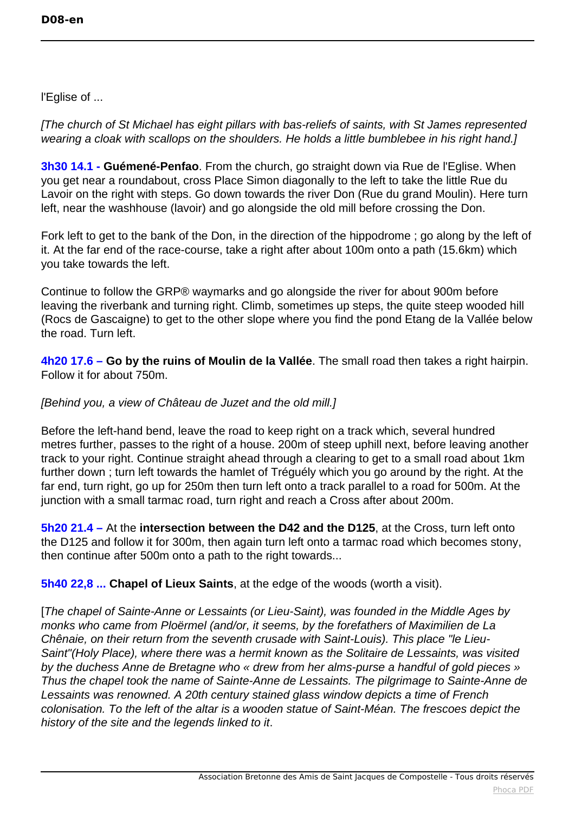l'Eglise of ...

[The church of St Michael has eight pillars with bas-reliefs of saints, with St James represented wearing a cloak with scallops on the shoulders. He holds a little bumblebee in his right hand.]

**3h30 14.1 - Guémené-Penfao**. From the church, go straight down via Rue de l'Eglise. When you get near a roundabout, cross Place Simon diagonally to the left to take the little Rue du Lavoir on the right with steps. Go down towards the river Don (Rue du grand Moulin). Here turn left, near the washhouse (lavoir) and go alongside the old mill before crossing the Don.

Fork left to get to the bank of the Don, in the direction of the hippodrome ; go along by the left of it. At the far end of the race-course, take a right after about 100m onto a path (15.6km) which you take towards the left.

Continue to follow the GRP® waymarks and go alongside the river for about 900m before leaving the riverbank and turning right. Climb, sometimes up steps, the quite steep wooded hill (Rocs de Gascaigne) to get to the other slope where you find the pond Etang de la Vallée below the road. Turn left.

**4h20 17.6 – Go by the ruins of Moulin de la Vallée**. The small road then takes a right hairpin. Follow it for about 750m.

## [Behind you, a view of Château de Juzet and the old mill.]

Before the left-hand bend, leave the road to keep right on a track which, several hundred metres further, passes to the right of a house. 200m of steep uphill next, before leaving another track to your right. Continue straight ahead through a clearing to get to a small road about 1km further down ; turn left towards the hamlet of Tréguély which you go around by the right. At the far end, turn right, go up for 250m then turn left onto a track parallel to a road for 500m. At the junction with a small tarmac road, turn right and reach a Cross after about 200m.

**5h20 21.4 –** At the **intersection between the D42 and the D125**, at the Cross, turn left onto the D125 and follow it for 300m, then again turn left onto a tarmac road which becomes stony, then continue after 500m onto a path to the right towards...

**5h40 22,8 ... Chapel of Lieux Saints**, at the edge of the woods (worth a visit).

[The chapel of Sainte-Anne or Lessaints (or Lieu-Saint), was founded in the Middle Ages by monks who came from Ploërmel (and/or, it seems, by the forefathers of Maximilien de La Chênaie, on their return from the seventh crusade with Saint-Louis). This place "le Lieu-Saint"(Holy Place), where there was a hermit known as the Solitaire de Lessaints, was visited by the duchess Anne de Bretagne who « drew from her alms-purse a handful of gold pieces » Thus the chapel took the name of Sainte-Anne de Lessaints. The pilgrimage to Sainte-Anne de Lessaints was renowned. A 20th century stained glass window depicts a time of French colonisation. To the left of the altar is a wooden statue of Saint-Méan. The frescoes depict the history of the site and the legends linked to it.